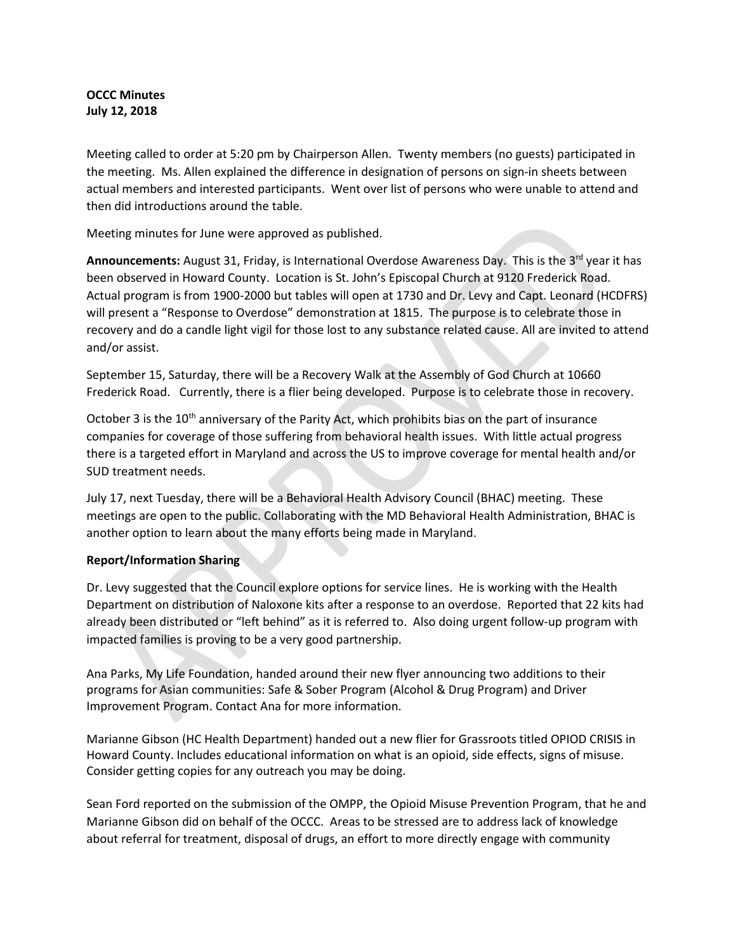### **OCCC Minutes July 12, 2018**

Meeting called to order at 5:20 pm by Chairperson Allen. Twenty members (no guests) participated in the meeting. Ms. Allen explained the difference in designation of persons on sign-in sheets between actual members and interested participants. Went over list of persons who were unable to attend and then did introductions around the table.

Meeting minutes for June were approved as published.

**Announcements:** August 31, Friday, is International Overdose Awareness Day. This is the 3rd year it has been observed in Howard County. Location is St. John's Episcopal Church at 9120 Frederick Road. Actual program is from 1900-2000 but tables will open at 1730 and Dr. Levy and Capt. Leonard (HCDFRS) will present a "Response to Overdose" demonstration at 1815. The purpose is to celebrate those in recovery and do a candle light vigil for those lost to any substance related cause. All are invited to attend and/or assist.

September 15, Saturday, there will be a Recovery Walk at the Assembly of God Church at 10660 Frederick Road. Currently, there is a flier being developed. Purpose is to celebrate those in recovery.

October 3 is the 10<sup>th</sup> anniversary of the Parity Act, which prohibits bias on the part of insurance companies for coverage of those suffering from behavioral health issues. With little actual progress there is a targeted effort in Maryland and across the US to improve coverage for mental health and/or SUD treatment needs.

July 17, next Tuesday, there will be a Behavioral Health Advisory Council (BHAC) meeting. These meetings are open to the public. Collaborating with the MD Behavioral Health Administration, BHAC is another option to learn about the many efforts being made in Maryland.

### **Report/Information Sharing**

Dr. Levy suggested that the Council explore options for service lines. He is working with the Health Department on distribution of Naloxone kits after a response to an overdose. Reported that 22 kits had already been distributed or "left behind" as it is referred to. Also doing urgent follow-up program with impacted families is proving to be a very good partnership.

Ana Parks, My Life Foundation, handed around their new flyer announcing two additions to their programs for Asian communities: Safe & Sober Program (Alcohol & Drug Program) and Driver Improvement Program. Contact Ana for more information.

Marianne Gibson (HC Health Department) handed out a new flier for Grassroots titled OPIOD CRISIS in Howard County. Includes educational information on what is an opioid, side effects, signs of misuse. Consider getting copies for any outreach you may be doing.

Sean Ford reported on the submission of the OMPP, the Opioid Misuse Prevention Program, that he and Marianne Gibson did on behalf of the OCCC. Areas to be stressed are to address lack of knowledge about referral for treatment, disposal of drugs, an effort to more directly engage with community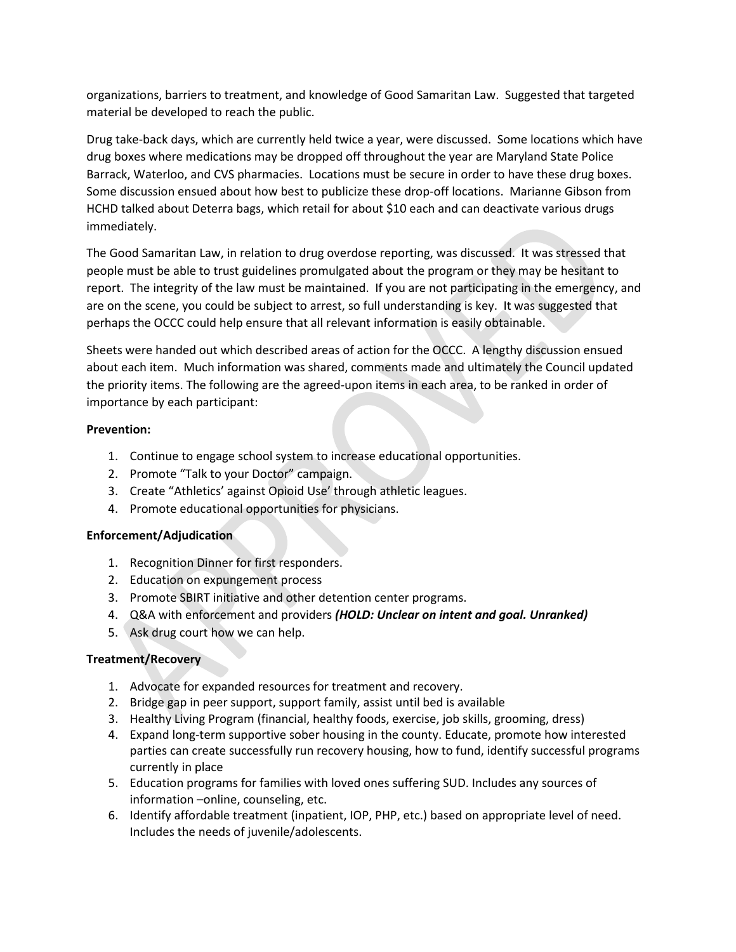organizations, barriers to treatment, and knowledge of Good Samaritan Law. Suggested that targeted material be developed to reach the public.

Drug take-back days, which are currently held twice a year, were discussed. Some locations which have drug boxes where medications may be dropped off throughout the year are Maryland State Police Barrack, Waterloo, and CVS pharmacies. Locations must be secure in order to have these drug boxes. Some discussion ensued about how best to publicize these drop-off locations. Marianne Gibson from HCHD talked about Deterra bags, which retail for about \$10 each and can deactivate various drugs immediately.

The Good Samaritan Law, in relation to drug overdose reporting, was discussed. It was stressed that people must be able to trust guidelines promulgated about the program or they may be hesitant to report. The integrity of the law must be maintained. If you are not participating in the emergency, and are on the scene, you could be subject to arrest, so full understanding is key. It was suggested that perhaps the OCCC could help ensure that all relevant information is easily obtainable.

Sheets were handed out which described areas of action for the OCCC. A lengthy discussion ensued about each item. Much information was shared, comments made and ultimately the Council updated the priority items. The following are the agreed-upon items in each area, to be ranked in order of importance by each participant:

## **Prevention:**

- 1. Continue to engage school system to increase educational opportunities.
- 2. Promote "Talk to your Doctor" campaign.
- 3. Create "Athletics' against Opioid Use' through athletic leagues.
- 4. Promote educational opportunities for physicians.

# **Enforcement/Adjudication**

- 1. Recognition Dinner for first responders.
- 2. Education on expungement process
- 3. Promote SBIRT initiative and other detention center programs.
- 4. Q&A with enforcement and providers *(HOLD: Unclear on intent and goal. Unranked)*
- 5. Ask drug court how we can help.

# **Treatment/Recovery**

- 1. Advocate for expanded resources for treatment and recovery.
- 2. Bridge gap in peer support, support family, assist until bed is available
- 3. Healthy Living Program (financial, healthy foods, exercise, job skills, grooming, dress)
- 4. Expand long-term supportive sober housing in the county. Educate, promote how interested parties can create successfully run recovery housing, how to fund, identify successful programs currently in place
- 5. Education programs for families with loved ones suffering SUD. Includes any sources of information –online, counseling, etc.
- 6. Identify affordable treatment (inpatient, IOP, PHP, etc.) based on appropriate level of need. Includes the needs of juvenile/adolescents.